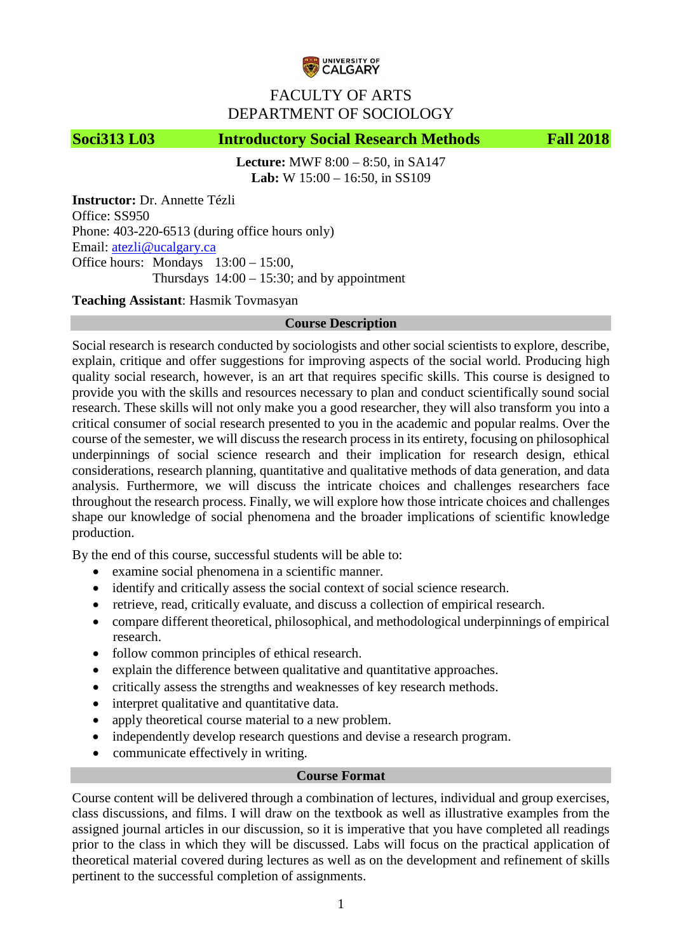

# FACULTY OF ARTS DEPARTMENT OF SOCIOLOGY

# **Soci313 L03 Introductory Social Research Methods Fall 2018**

**Lecture:** MWF 8:00 – 8:50, in SA147 **Lab:** W 15:00 – 16:50, in SS109

**Instructor:** Dr. Annette Tézli Office: SS950 Phone: 403-220-6513 (during office hours only) Email: [atezli@ucalgary.ca](mailto:atezli@ucalgary.ca) Office hours: Mondays 13:00 – 15:00, Thursdays  $14:00 - 15:30$ ; and by appointment

# **Teaching Assistant**: Hasmik Tovmasyan

# **Course Description**

Social research is research conducted by sociologists and other social scientists to explore, describe, explain, critique and offer suggestions for improving aspects of the social world. Producing high quality social research, however, is an art that requires specific skills. This course is designed to provide you with the skills and resources necessary to plan and conduct scientifically sound social research. These skills will not only make you a good researcher, they will also transform you into a critical consumer of social research presented to you in the academic and popular realms. Over the course of the semester, we will discuss the research process in its entirety, focusing on philosophical underpinnings of social science research and their implication for research design, ethical considerations, research planning, quantitative and qualitative methods of data generation, and data analysis. Furthermore, we will discuss the intricate choices and challenges researchers face throughout the research process. Finally, we will explore how those intricate choices and challenges shape our knowledge of social phenomena and the broader implications of scientific knowledge production.

By the end of this course, successful students will be able to:

- examine social phenomena in a scientific manner.
- identify and critically assess the social context of social science research.
- retrieve, read, critically evaluate, and discuss a collection of empirical research.
- compare different theoretical, philosophical, and methodological underpinnings of empirical research.
- follow common principles of ethical research.
- explain the difference between qualitative and quantitative approaches.
- critically assess the strengths and weaknesses of key research methods.
- interpret qualitative and quantitative data.
- apply theoretical course material to a new problem.
- independently develop research questions and devise a research program.
- communicate effectively in writing.

## **Course Format**

Course content will be delivered through a combination of lectures, individual and group exercises, class discussions, and films. I will draw on the textbook as well as illustrative examples from the assigned journal articles in our discussion, so it is imperative that you have completed all readings prior to the class in which they will be discussed. Labs will focus on the practical application of theoretical material covered during lectures as well as on the development and refinement of skills pertinent to the successful completion of assignments.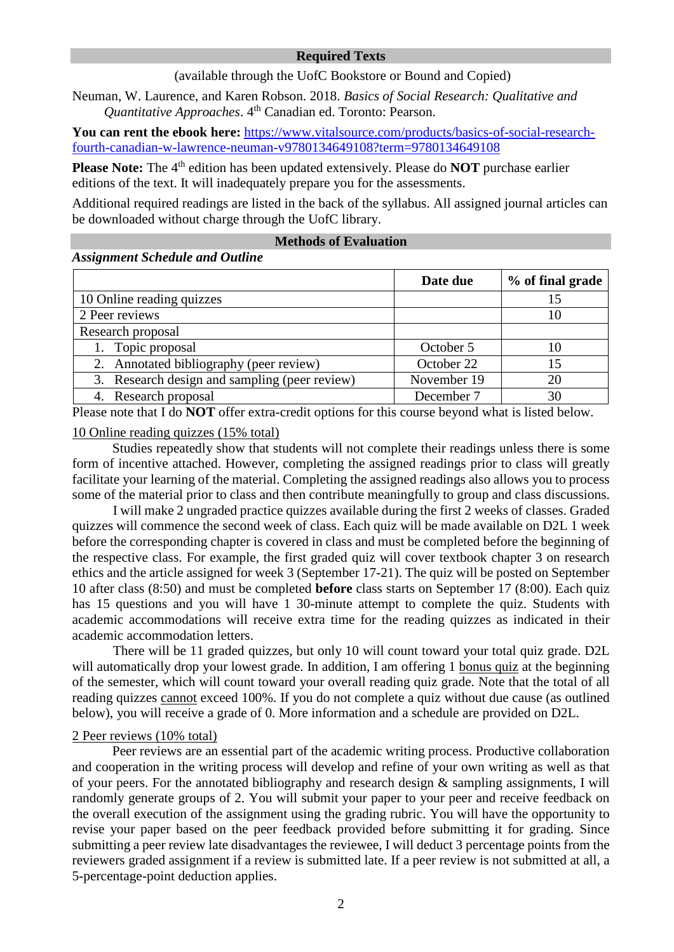### **Required Texts**

(available through the UofC Bookstore or Bound and Copied)

Neuman, W. Laurence, and Karen Robson. 2018. *Basics of Social Research: Qualitative and Quantitative Approaches. 4<sup>th</sup> Canadian ed. Toronto: Pearson.* 

You can rent the ebook here: [https://www.vitalsource.com/products/basics-of-social-research](https://www.vitalsource.com/products/basics-of-social-research-fourth-canadian-w-lawrence-neuman-v9780134649108?term=9780134649108)[fourth-canadian-w-lawrence-neuman-v9780134649108?term=9780134649108](https://www.vitalsource.com/products/basics-of-social-research-fourth-canadian-w-lawrence-neuman-v9780134649108?term=9780134649108)

**Please Note:** The 4<sup>th</sup> edition has been updated extensively. Please do **NOT** purchase earlier editions of the text. It will inadequately prepare you for the assessments.

Additional required readings are listed in the back of the syllabus. All assigned journal articles can be downloaded without charge through the UofC library.

## **Methods of Evaluation**

#### *Assignment Schedule and Outline*

|                                               | Date due    | % of final grade |
|-----------------------------------------------|-------------|------------------|
| 10 Online reading quizzes                     |             |                  |
| 2 Peer reviews                                |             |                  |
| Research proposal                             |             |                  |
| 1. Topic proposal                             | October 5   |                  |
| 2. Annotated bibliography (peer review)       | October 22  | ۱5               |
| 3. Research design and sampling (peer review) | November 19 | 20               |
| 4. Research proposal                          | December 7  | 30               |

Please note that I do **NOT** offer extra-credit options for this course beyond what is listed below.

### 10 Online reading quizzes (15% total)

Studies repeatedly show that students will not complete their readings unless there is some form of incentive attached. However, completing the assigned readings prior to class will greatly facilitate your learning of the material. Completing the assigned readings also allows you to process some of the material prior to class and then contribute meaningfully to group and class discussions.

I will make 2 ungraded practice quizzes available during the first 2 weeks of classes. Graded quizzes will commence the second week of class. Each quiz will be made available on D2L 1 week before the corresponding chapter is covered in class and must be completed before the beginning of the respective class. For example, the first graded quiz will cover textbook chapter 3 on research ethics and the article assigned for week 3 (September 17-21). The quiz will be posted on September 10 after class (8:50) and must be completed **before** class starts on September 17 (8:00). Each quiz has 15 questions and you will have 1 30-minute attempt to complete the quiz. Students with academic accommodations will receive extra time for the reading quizzes as indicated in their academic accommodation letters.

There will be 11 graded quizzes, but only 10 will count toward your total quiz grade. D2L will automatically drop your lowest grade. In addition, I am offering 1 bonus quiz at the beginning of the semester, which will count toward your overall reading quiz grade. Note that the total of all reading quizzes cannot exceed 100%. If you do not complete a quiz without due cause (as outlined below), you will receive a grade of 0. More information and a schedule are provided on D2L.

#### 2 Peer reviews (10% total)

Peer reviews are an essential part of the academic writing process. Productive collaboration and cooperation in the writing process will develop and refine of your own writing as well as that of your peers. For the annotated bibliography and research design & sampling assignments, I will randomly generate groups of 2. You will submit your paper to your peer and receive feedback on the overall execution of the assignment using the grading rubric. You will have the opportunity to revise your paper based on the peer feedback provided before submitting it for grading. Since submitting a peer review late disadvantages the reviewee, I will deduct 3 percentage points from the reviewers graded assignment if a review is submitted late. If a peer review is not submitted at all, a 5-percentage-point deduction applies.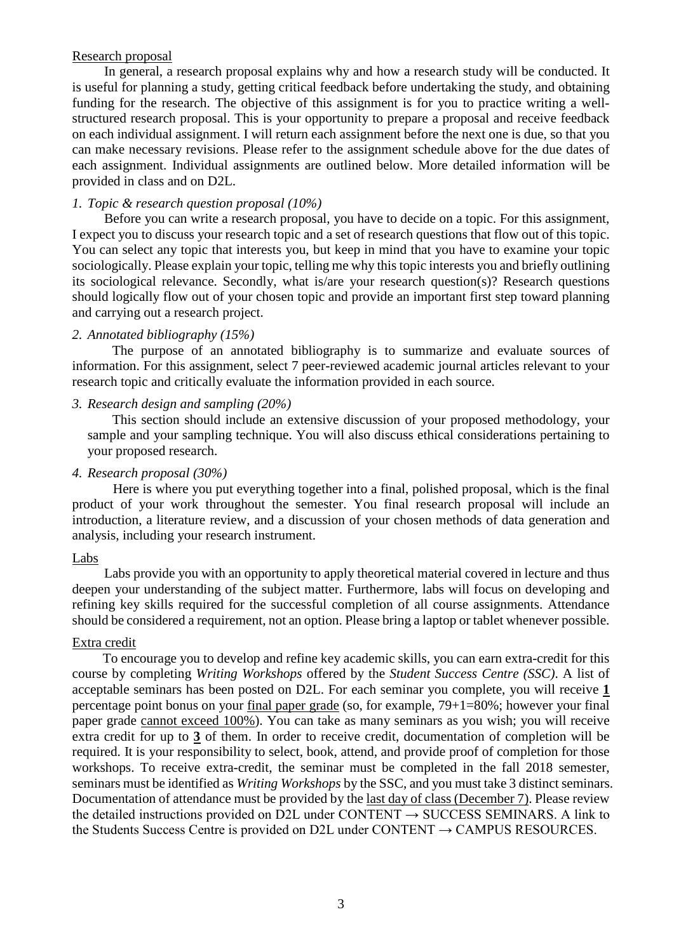### Research proposal

In general, a research proposal explains why and how a research study will be conducted. It is useful for planning a study, getting critical feedback before undertaking the study, and obtaining funding for the research. The objective of this assignment is for you to practice writing a wellstructured research proposal. This is your opportunity to prepare a proposal and receive feedback on each individual assignment. I will return each assignment before the next one is due, so that you can make necessary revisions. Please refer to the assignment schedule above for the due dates of each assignment. Individual assignments are outlined below. More detailed information will be provided in class and on D2L.

### *1. Topic & research question proposal (10%)*

Before you can write a research proposal, you have to decide on a topic. For this assignment, I expect you to discuss your research topic and a set of research questions that flow out of this topic. You can select any topic that interests you, but keep in mind that you have to examine your topic sociologically. Please explain your topic, telling me why this topic interests you and briefly outlining its sociological relevance. Secondly, what is/are your research question(s)? Research questions should logically flow out of your chosen topic and provide an important first step toward planning and carrying out a research project.

#### *2. Annotated bibliography (15%)*

The purpose of an annotated bibliography is to summarize and evaluate sources of information. For this assignment, select 7 peer-reviewed academic journal articles relevant to your research topic and critically evaluate the information provided in each source.

#### *3. Research design and sampling (20%)*

This section should include an extensive discussion of your proposed methodology, your sample and your sampling technique. You will also discuss ethical considerations pertaining to your proposed research.

#### *4. Research proposal (30%)*

Here is where you put everything together into a final, polished proposal, which is the final product of your work throughout the semester. You final research proposal will include an introduction, a literature review, and a discussion of your chosen methods of data generation and analysis, including your research instrument.

#### Labs

Labs provide you with an opportunity to apply theoretical material covered in lecture and thus deepen your understanding of the subject matter. Furthermore, labs will focus on developing and refining key skills required for the successful completion of all course assignments. Attendance should be considered a requirement, not an option. Please bring a laptop or tablet whenever possible.

## Extra credit

To encourage you to develop and refine key academic skills, you can earn extra-credit for this course by completing *Writing Workshops* offered by the *Student Success Centre (SSC)*. A list of acceptable seminars has been posted on D2L. For each seminar you complete, you will receive **1** percentage point bonus on your final paper grade (so, for example, 79+1=80%; however your final paper grade cannot exceed 100%). You can take as many seminars as you wish; you will receive extra credit for up to **3** of them. In order to receive credit, documentation of completion will be required. It is your responsibility to select, book, attend, and provide proof of completion for those workshops. To receive extra-credit, the seminar must be completed in the fall 2018 semester, seminars must be identified as *Writing Workshops* by the SSC, and you must take 3 distinct seminars. Documentation of attendance must be provided by the last day of class (December 7). Please review the detailed instructions provided on D2L under CONTENT  $\rightarrow$  SUCCESS SEMINARS. A link to the Students Success Centre is provided on D2L under CONTENT  $\rightarrow$  CAMPUS RESOURCES.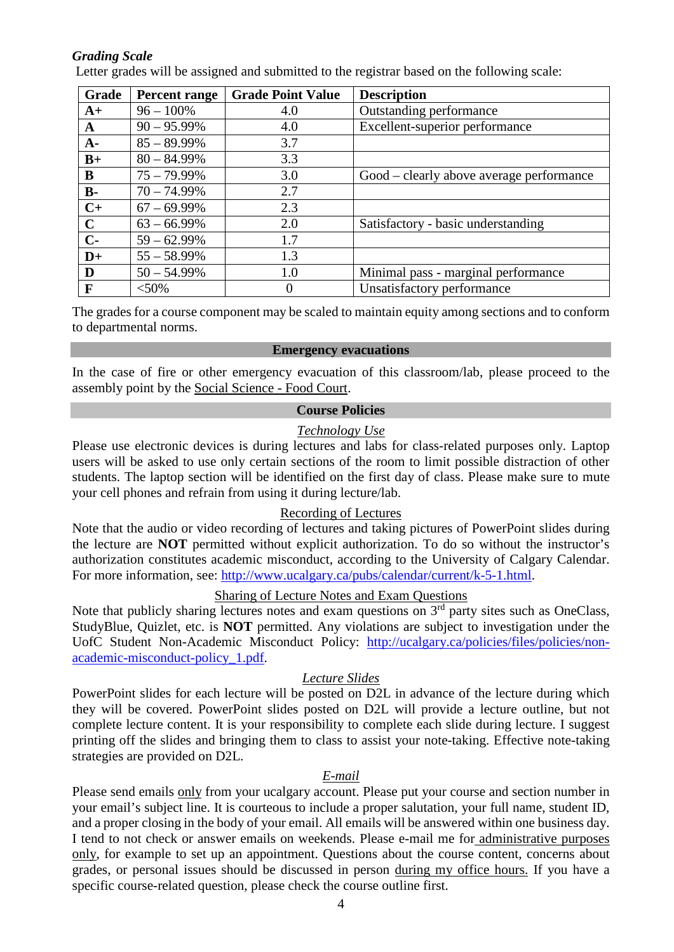# *Grading Scale*

Letter grades will be assigned and submitted to the registrar based on the following scale:

| Grade       | Percent range  | <b>Grade Point Value</b> | <b>Description</b>                       |
|-------------|----------------|--------------------------|------------------------------------------|
| $A+$        | $96 - 100\%$   | 4.0                      | Outstanding performance                  |
| A           | $90 - 95.99\%$ | 4.0                      | Excellent-superior performance           |
| $A-$        | $85 - 89.99\%$ | 3.7                      |                                          |
| $B+$        | $80 - 84.99\%$ | 3.3                      |                                          |
| B           | $75 - 79.99\%$ | 3.0                      | Good – clearly above average performance |
| $B -$       | $70 - 74.99\%$ | 2.7                      |                                          |
| $C+$        | $67 - 69.99\%$ | 2.3                      |                                          |
| $\mathbf C$ | $63 - 66.99\%$ | 2.0                      | Satisfactory - basic understanding       |
| $C-$        | $59 - 62.99\%$ | 1.7                      |                                          |
| $D+$        | $55 - 58.99\%$ | 1.3                      |                                          |
| D           | $50 - 54.99\%$ | 1.0                      | Minimal pass - marginal performance      |
| $\mathbf F$ | $<$ 50%        | $\theta$                 | Unsatisfactory performance               |

The grades for a course component may be scaled to maintain equity among sections and to conform to departmental norms.

#### **Emergency evacuations**

In the case of fire or other emergency evacuation of this classroom/lab, please proceed to the assembly point by the Social Science - Food Court.

# **Course Policies**

# *Technology Use*

Please use electronic devices is during lectures and labs for class-related purposes only. Laptop users will be asked to use only certain sections of the room to limit possible distraction of other students. The laptop section will be identified on the first day of class. Please make sure to mute your cell phones and refrain from using it during lecture/lab.

# Recording of Lectures

Note that the audio or video recording of lectures and taking pictures of PowerPoint slides during the lecture are **NOT** permitted without explicit authorization. To do so without the instructor's authorization constitutes academic misconduct, according to the University of Calgary Calendar. For more information, see: [http://www.ucalgary.ca/pubs/calendar/current/k-5-1.html.](http://www.ucalgary.ca/pubs/calendar/current/k-5-1.html)

# Sharing of Lecture Notes and Exam Questions

Note that publicly sharing lectures notes and exam questions on  $3<sup>rd</sup>$  party sites such as OneClass, StudyBlue, Quizlet, etc. is **NOT** permitted. Any violations are subject to investigation under the UofC Student Non-Academic Misconduct Policy: [http://ucalgary.ca/policies/files/policies/non](http://ucalgary.ca/policies/files/policies/non-academic-misconduct-policy_1.pdf)[academic-misconduct-policy\\_1.pdf.](http://ucalgary.ca/policies/files/policies/non-academic-misconduct-policy_1.pdf)

## *Lecture Slides*

PowerPoint slides for each lecture will be posted on D2L in advance of the lecture during which they will be covered. PowerPoint slides posted on D2L will provide a lecture outline, but not complete lecture content. It is your responsibility to complete each slide during lecture. I suggest printing off the slides and bringing them to class to assist your note-taking. Effective note-taking strategies are provided on D2L.

## *E-mail*

Please send emails only from your ucalgary account. Please put your course and section number in your email's subject line. It is courteous to include a proper salutation, your full name, student ID, and a proper closing in the body of your email. All emails will be answered within one business day. I tend to not check or answer emails on weekends. Please e-mail me for administrative purposes only, for example to set up an appointment. Questions about the course content, concerns about grades, or personal issues should be discussed in person during my office hours. If you have a specific course-related question, please check the course outline first.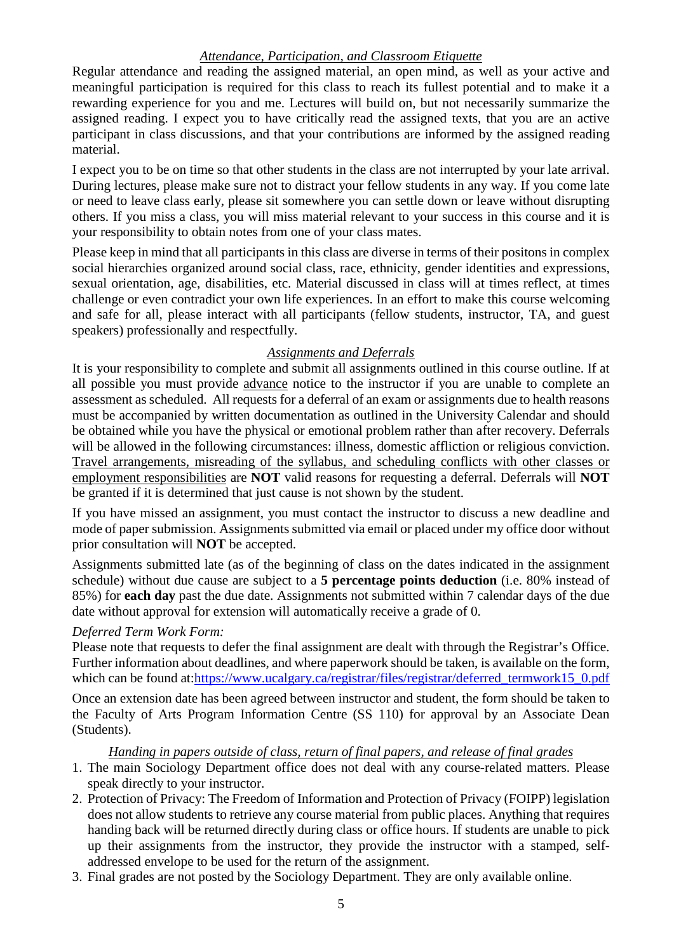# *Attendance, Participation, and Classroom Etiquette*

Regular attendance and reading the assigned material, an open mind, as well as your active and meaningful participation is required for this class to reach its fullest potential and to make it a rewarding experience for you and me. Lectures will build on, but not necessarily summarize the assigned reading. I expect you to have critically read the assigned texts, that you are an active participant in class discussions, and that your contributions are informed by the assigned reading material.

I expect you to be on time so that other students in the class are not interrupted by your late arrival. During lectures, please make sure not to distract your fellow students in any way. If you come late or need to leave class early, please sit somewhere you can settle down or leave without disrupting others. If you miss a class, you will miss material relevant to your success in this course and it is your responsibility to obtain notes from one of your class mates.

Please keep in mind that all participants in this class are diverse in terms of their positons in complex social hierarchies organized around social class, race, ethnicity, gender identities and expressions, sexual orientation, age, disabilities, etc. Material discussed in class will at times reflect, at times challenge or even contradict your own life experiences. In an effort to make this course welcoming and safe for all, please interact with all participants (fellow students, instructor, TA, and guest speakers) professionally and respectfully.

# *Assignments and Deferrals*

It is your responsibility to complete and submit all assignments outlined in this course outline. If at all possible you must provide advance notice to the instructor if you are unable to complete an assessment as scheduled. All requests for a deferral of an exam or assignments due to health reasons must be accompanied by written documentation as outlined in the University Calendar and should be obtained while you have the physical or emotional problem rather than after recovery. Deferrals will be allowed in the following circumstances: illness, domestic affliction or religious conviction. Travel arrangements, misreading of the syllabus, and scheduling conflicts with other classes or employment responsibilities are **NOT** valid reasons for requesting a deferral. Deferrals will **NOT** be granted if it is determined that just cause is not shown by the student.

If you have missed an assignment, you must contact the instructor to discuss a new deadline and mode of paper submission. Assignments submitted via email or placed under my office door without prior consultation will **NOT** be accepted.

Assignments submitted late (as of the beginning of class on the dates indicated in the assignment schedule) without due cause are subject to a **5 percentage points deduction** (i.e. 80% instead of 85%) for **each day** past the due date. Assignments not submitted within 7 calendar days of the due date without approval for extension will automatically receive a grade of 0.

# *Deferred Term Work Form:*

Please note that requests to defer the final assignment are dealt with through the Registrar's Office. Further information about deadlines, and where paperwork should be taken, is available on the form, which can be found at[:https://www.ucalgary.ca/registrar/files/registrar/deferred\\_termwork15\\_0.pdf](https://www.ucalgary.ca/registrar/files/registrar/deferred_termwork15_0.pdf)

Once an extension date has been agreed between instructor and student, the form should be taken to the Faculty of Arts Program Information Centre (SS 110) for approval by an Associate Dean (Students).

# *Handing in papers outside of class, return of final papers, and release of final grades*

- 1. The main Sociology Department office does not deal with any course-related matters. Please speak directly to your instructor.
- 2. Protection of Privacy: The Freedom of Information and Protection of Privacy (FOIPP) legislation does not allow students to retrieve any course material from public places. Anything that requires handing back will be returned directly during class or office hours. If students are unable to pick up their assignments from the instructor, they provide the instructor with a stamped, selfaddressed envelope to be used for the return of the assignment.
- 3. Final grades are not posted by the Sociology Department. They are only available online.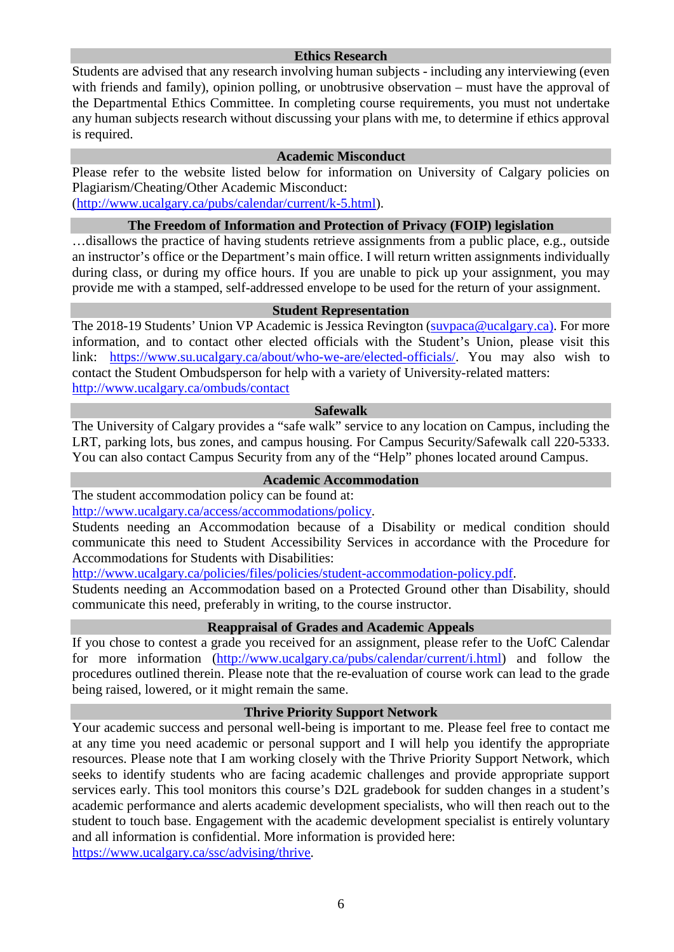#### **Ethics Research**

Students are advised that any research involving human subjects - including any interviewing (even with friends and family), opinion polling, or unobtrusive observation – must have the approval of the Departmental Ethics Committee. In completing course requirements, you must not undertake any human subjects research without discussing your plans with me, to determine if ethics approval is required.

### **Academic Misconduct**

Please refer to the website listed below for information on University of Calgary policies on Plagiarism/Cheating/Other Academic Misconduct:

[\(http://www.ucalgary.ca/pubs/calendar/current/k-5.html\)](http://www.ucalgary.ca/pubs/calendar/current/k-5.html).

# **The Freedom of Information and Protection of Privacy (FOIP) legislation**

…disallows the practice of having students retrieve assignments from a public place, e.g., outside an instructor's office or the Department's main office. I will return written assignments individually during class, or during my office hours. If you are unable to pick up your assignment, you may provide me with a stamped, self-addressed envelope to be used for the return of your assignment.

#### **Student Representation**

The 2018-19 Students' Union VP Academic is Jessica Revington [\(suvpaca@ucalgary.ca\)](mailto:suvpaca@ucalgary.ca). For more information, and to contact other elected officials with the Student's Union, please visit this link: [https://www.su.ucalgary.ca/about/who-we-are/elected-officials/.](https://www.su.ucalgary.ca/about/who-we-are/elected-officials/) You may also wish to contact the Student Ombudsperson for help with a variety of University-related matters: <http://www.ucalgary.ca/ombuds/contact>

#### **Safewalk**

The University of Calgary provides a "safe walk" service to any location on Campus, including the LRT, parking lots, bus zones, and campus housing. For Campus Security/Safewalk call 220-5333. You can also contact Campus Security from any of the "Help" phones located around Campus.

# **Academic Accommodation**

The student accommodation policy can be found at:

[http://www.ucalgary.ca/access/accommodations/policy.](http://www.ucalgary.ca/access/accommodations/policy)

Students needing an Accommodation because of a Disability or medical condition should communicate this need to Student Accessibility Services in accordance with the Procedure for Accommodations for Students with Disabilities:

[http://www.ucalgary.ca/policies/files/policies/student-accommodation-policy.pdf.](http://www.ucalgary.ca/policies/files/policies/student-accommodation-policy.pdf)

Students needing an Accommodation based on a Protected Ground other than Disability, should communicate this need, preferably in writing, to the course instructor.

## **Reappraisal of Grades and Academic Appeals**

If you chose to contest a grade you received for an assignment, please refer to the UofC Calendar for more information [\(http://www.ucalgary.ca/pubs/calendar/current/i.html\)](http://www.ucalgary.ca/pubs/calendar/current/i.html) and follow the procedures outlined therein. Please note that the re-evaluation of course work can lead to the grade being raised, lowered, or it might remain the same.

## **Thrive Priority Support Network**

Your academic success and personal well-being is important to me. Please feel free to contact me at any time you need academic or personal support and I will help you identify the appropriate resources. Please note that I am working closely with the Thrive Priority Support Network, which seeks to identify students who are facing academic challenges and provide appropriate support services early. This tool monitors this course's D2L gradebook for sudden changes in a student's academic performance and alerts academic development specialists, who will then reach out to the student to touch base. Engagement with the academic development specialist is entirely voluntary and all information is confidential. More information is provided here: [https://www.ucalgary.ca/ssc/advising/thrive.](https://www.ucalgary.ca/ssc/advising/thrive)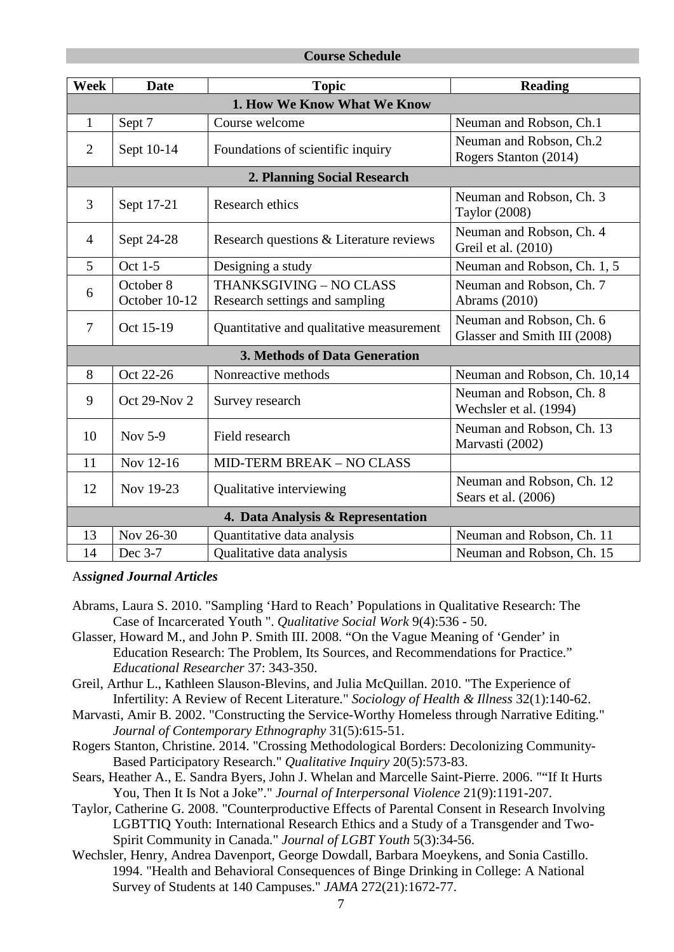### **Course Schedule**

| Week                              | <b>Date</b>                | <b>Topic</b>                                              | <b>Reading</b>                                           |  |  |
|-----------------------------------|----------------------------|-----------------------------------------------------------|----------------------------------------------------------|--|--|
| 1. How We Know What We Know       |                            |                                                           |                                                          |  |  |
| $\mathbf{1}$                      | Sept 7                     | Course welcome                                            | Neuman and Robson, Ch.1                                  |  |  |
| $\overline{2}$                    | Sept 10-14                 | Foundations of scientific inquiry                         | Neuman and Robson, Ch.2<br>Rogers Stanton (2014)         |  |  |
|                                   |                            | 2. Planning Social Research                               |                                                          |  |  |
| 3                                 | Sept 17-21                 | Research ethics                                           | Neuman and Robson, Ch. 3<br>Taylor (2008)                |  |  |
| $\overline{4}$                    | Sept 24-28                 | Research questions & Literature reviews                   | Neuman and Robson, Ch. 4<br>Greil et al. (2010)          |  |  |
| 5                                 | Oct 1-5                    | Designing a study                                         | Neuman and Robson, Ch. 1, 5                              |  |  |
| 6                                 | October 8<br>October 10-12 | THANKSGIVING - NO CLASS<br>Research settings and sampling | Neuman and Robson, Ch. 7<br>Abrams (2010)                |  |  |
| $\overline{7}$                    | Oct 15-19                  | Quantitative and qualitative measurement                  | Neuman and Robson, Ch. 6<br>Glasser and Smith III (2008) |  |  |
| 3. Methods of Data Generation     |                            |                                                           |                                                          |  |  |
| 8                                 | Oct 22-26                  | Nonreactive methods                                       | Neuman and Robson, Ch. 10,14                             |  |  |
| 9                                 | Oct 29-Nov 2               | Survey research                                           | Neuman and Robson, Ch. 8<br>Wechsler et al. (1994)       |  |  |
| 10                                | Nov 5-9                    | Field research                                            | Neuman and Robson, Ch. 13<br>Marvasti (2002)             |  |  |
| 11                                | Nov 12-16                  | MID-TERM BREAK - NO CLASS                                 |                                                          |  |  |
| 12                                | Nov 19-23                  | Qualitative interviewing                                  | Neuman and Robson, Ch. 12<br>Sears et al. (2006)         |  |  |
| 4. Data Analysis & Representation |                            |                                                           |                                                          |  |  |
| 13                                | Nov 26-30                  | Quantitative data analysis                                | Neuman and Robson, Ch. 11                                |  |  |
| 14                                | Dec 3-7                    | Qualitative data analysis                                 | Neuman and Robson, Ch. 15                                |  |  |

## A*ssigned Journal Articles*

- Abrams, Laura S. 2010. "Sampling 'Hard to Reach' Populations in Qualitative Research: The Case of Incarcerated Youth ". *Qualitative Social Work* 9(4):536 - 50.
- Glasser, Howard M., and John P. Smith III. 2008. "On the Vague Meaning of 'Gender' in Education Research: The Problem, Its Sources, and Recommendations for Practice." *Educational Researcher* 37: 343-350.
- Greil, Arthur L., Kathleen Slauson-Blevins, and Julia McQuillan. 2010. "The Experience of Infertility: A Review of Recent Literature." *Sociology of Health & Illness* 32(1):140-62.
- Marvasti, Amir B. 2002. "Constructing the Service-Worthy Homeless through Narrative Editing." *Journal of Contemporary Ethnography* 31(5):615-51.
- Rogers Stanton, Christine. 2014. "Crossing Methodological Borders: Decolonizing Community-Based Participatory Research." *Qualitative Inquiry* 20(5):573-83.
- Sears, Heather A., E. Sandra Byers, John J. Whelan and Marcelle Saint-Pierre. 2006. ""If It Hurts You, Then It Is Not a Joke"." *Journal of Interpersonal Violence* 21(9):1191-207.
- Taylor, Catherine G. 2008. "Counterproductive Effects of Parental Consent in Research Involving LGBTTIQ Youth: International Research Ethics and a Study of a Transgender and Two-Spirit Community in Canada." *Journal of LGBT Youth* 5(3):34-56.
- Wechsler, Henry, Andrea Davenport, George Dowdall, Barbara Moeykens, and Sonia Castillo. 1994. "Health and Behavioral Consequences of Binge Drinking in College: A National Survey of Students at 140 Campuses." *JAMA* 272(21):1672-77.